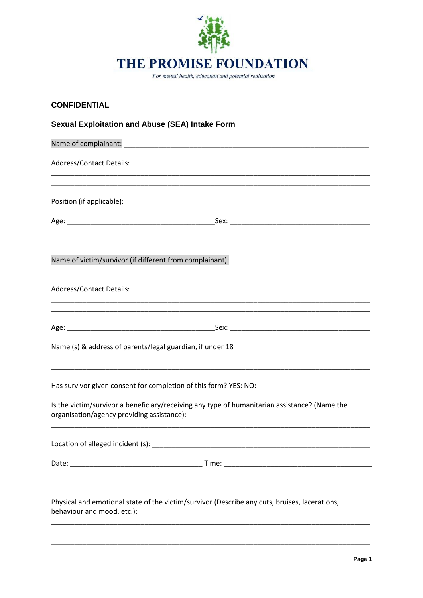

For mental health, education and potential realisation

| <b>CONFIDENTIAL</b>                                                                                                                         |
|---------------------------------------------------------------------------------------------------------------------------------------------|
| <b>Sexual Exploitation and Abuse (SEA) Intake Form</b>                                                                                      |
|                                                                                                                                             |
| <b>Address/Contact Details:</b><br><u> 1989 - Johann Stoff, amerikansk politiker (d. 1989)</u>                                              |
|                                                                                                                                             |
|                                                                                                                                             |
| Name of victim/survivor (if different from complainant):                                                                                    |
| <b>Address/Contact Details:</b>                                                                                                             |
| <u> 1999 - Jan James James James James James James James James James James James James James James James James</u>                          |
| Name (s) & address of parents/legal guardian, if under 18                                                                                   |
| <u> 1989 - Johann Stoff, amerikansk politiker (d. 1989)</u><br>Has survivor given consent for completion of this form? YES: NO:             |
| Is the victim/survivor a beneficiary/receiving any type of humanitarian assistance? (Name the<br>organisation/agency providing assistance): |
|                                                                                                                                             |
|                                                                                                                                             |
| Physical and emotional state of the victim/survivor (Describe any cuts, bruises, lacerations,<br>behaviour and mood, etc.):                 |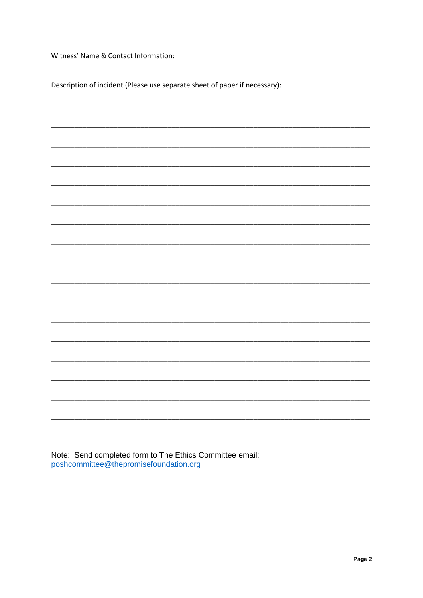Witness' Name & Contact Information:

Description of incident (Please use separate sheet of paper if necessary):

Note: Send completed form to The Ethics Committee email:<br>poshcommittee@thepromisefoundation.org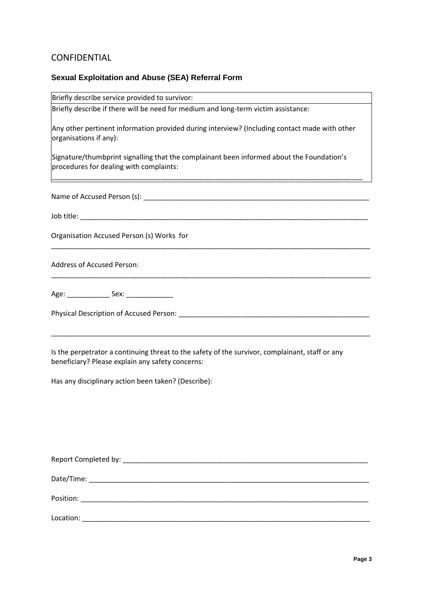## CONFIDENTIAL

## **Sexual Exploitation and Abuse (SEA) Referral Form**

| Briefly describe service provided to survivor:                                                                                                                     |
|--------------------------------------------------------------------------------------------------------------------------------------------------------------------|
| Briefly describe if there will be need for medium and long-term victim assistance:                                                                                 |
| Any other pertinent information provided during interview? (Including contact made with other<br>organisations if any):                                            |
| Signature/thumbprint signalling that the complainant been informed about the Foundation's<br>procedures for dealing with complaints:                               |
|                                                                                                                                                                    |
|                                                                                                                                                                    |
| Organisation Accused Person (s) Works for<br><u> 1989 - Johann Harry Harry Harry Harry Harry Harry Harry Harry Harry Harry Harry Harry Harry Harry Harry Harry</u> |
| <b>Address of Accused Person:</b>                                                                                                                                  |
| Age: _________________ Sex: ________________                                                                                                                       |
|                                                                                                                                                                    |
| Is the perpetrator a continuing threat to the safety of the survivor, complainant, staff or any                                                                    |

beneficiary? Please explain any safety concerns:

Has any disciplinary action been taken? (Describe):

| Report Completed by: North Completed by: |  |
|------------------------------------------|--|
|                                          |  |
| Position:                                |  |
| Location:                                |  |